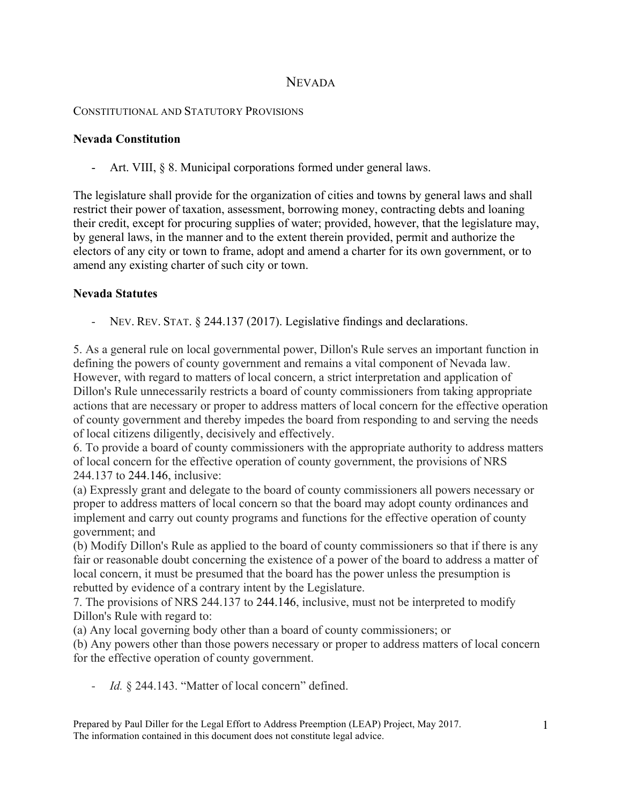# **NEVADA**

### CONSTITUTIONAL AND STATUTORY PROVISIONS

### **Nevada Constitution**

- Art. VIII, § 8. Municipal corporations formed under general laws.

The legislature shall provide for the organization of cities and towns by general laws and shall restrict their power of taxation, assessment, borrowing money, contracting debts and loaning their credit, except for procuring supplies of water; provided, however, that the legislature may, by general laws, in the manner and to the extent therein provided, permit and authorize the electors of any city or town to frame, adopt and amend a charter for its own government, or to amend any existing charter of such city or town.

# **Nevada Statutes**

- NEV. REV. STAT. § 244.137 (2017). Legislative findings and declarations.

5. As a general rule on local governmental power, Dillon's Rule serves an important function in defining the powers of county government and remains a vital component of Nevada law. However, with regard to matters of local concern, a strict interpretation and application of Dillon's Rule unnecessarily restricts a board of county commissioners from taking appropriate actions that are necessary or proper to address matters of local concern for the effective operation of county government and thereby impedes the board from responding to and serving the needs of local citizens diligently, decisively and effectively.

6. To provide a board of county commissioners with the appropriate authority to address matters of local concern for the effective operation of county government, the provisions of NRS 244.137 to 244.146, inclusive:

(a) Expressly grant and delegate to the board of county commissioners all powers necessary or proper to address matters of local concern so that the board may adopt county ordinances and implement and carry out county programs and functions for the effective operation of county government; and

(b) Modify Dillon's Rule as applied to the board of county commissioners so that if there is any fair or reasonable doubt concerning the existence of a power of the board to address a matter of local concern, it must be presumed that the board has the power unless the presumption is rebutted by evidence of a contrary intent by the Legislature.

7. The provisions of NRS 244.137 to 244.146, inclusive, must not be interpreted to modify Dillon's Rule with regard to:

(a) Any local governing body other than a board of county commissioners; or

(b) Any powers other than those powers necessary or proper to address matters of local concern for the effective operation of county government.

- *Id.* § 244.143. "Matter of local concern" defined.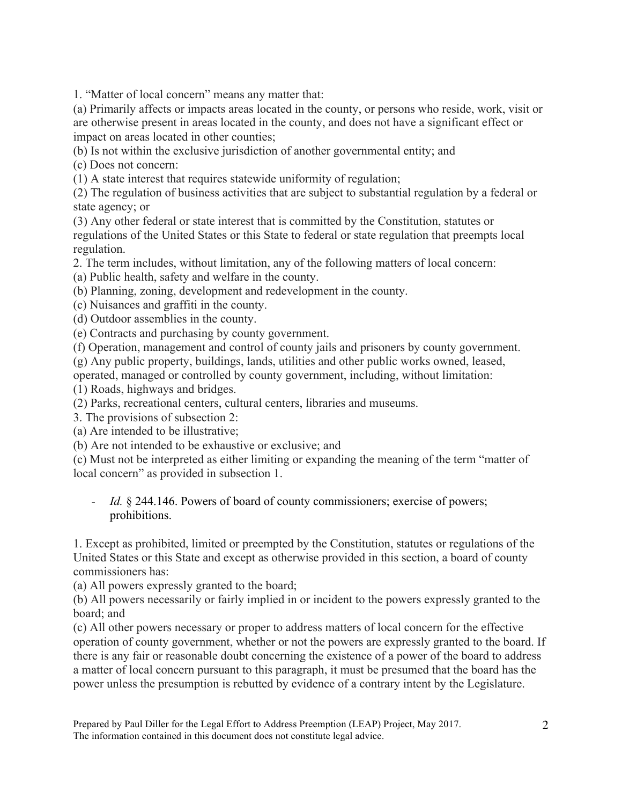1. "Matter of local concern" means any matter that:

(a) Primarily affects or impacts areas located in the county, or persons who reside, work, visit or are otherwise present in areas located in the county, and does not have a significant effect or impact on areas located in other counties;

(b) Is not within the exclusive jurisdiction of another governmental entity; and

(c) Does not concern:

(1) A state interest that requires statewide uniformity of regulation;

(2) The regulation of business activities that are subject to substantial regulation by a federal or state agency; or

(3) Any other federal or state interest that is committed by the Constitution, statutes or regulations of the United States or this State to federal or state regulation that preempts local regulation.

2. The term includes, without limitation, any of the following matters of local concern:

(a) Public health, safety and welfare in the county.

(b) Planning, zoning, development and redevelopment in the county.

(c) Nuisances and graffiti in the county.

(d) Outdoor assemblies in the county.

(e) Contracts and purchasing by county government.

(f) Operation, management and control of county jails and prisoners by county government.

(g) Any public property, buildings, lands, utilities and other public works owned, leased,

operated, managed or controlled by county government, including, without limitation:

(1) Roads, highways and bridges.

(2) Parks, recreational centers, cultural centers, libraries and museums.

3. The provisions of subsection 2:

(a) Are intended to be illustrative;

(b) Are not intended to be exhaustive or exclusive; and

(c) Must not be interpreted as either limiting or expanding the meaning of the term "matter of local concern" as provided in subsection 1.

# - *Id.* § 244.146. Powers of board of county commissioners; exercise of powers; prohibitions.

1. Except as prohibited, limited or preempted by the Constitution, statutes or regulations of the United States or this State and except as otherwise provided in this section, a board of county commissioners has:

(a) All powers expressly granted to the board;

(b) All powers necessarily or fairly implied in or incident to the powers expressly granted to the board; and

(c) All other powers necessary or proper to address matters of local concern for the effective operation of county government, whether or not the powers are expressly granted to the board. If there is any fair or reasonable doubt concerning the existence of a power of the board to address a matter of local concern pursuant to this paragraph, it must be presumed that the board has the power unless the presumption is rebutted by evidence of a contrary intent by the Legislature.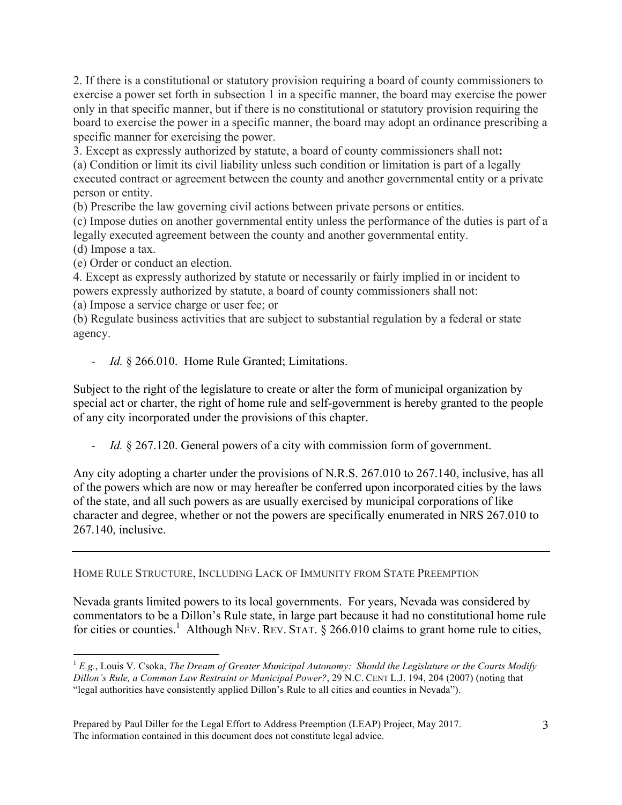2. If there is a constitutional or statutory provision requiring a board of county commissioners to exercise a power set forth in subsection 1 in a specific manner, the board may exercise the power only in that specific manner, but if there is no constitutional or statutory provision requiring the board to exercise the power in a specific manner, the board may adopt an ordinance prescribing a specific manner for exercising the power.

3. Except as expressly authorized by statute, a board of county commissioners shall not**:** (a) Condition or limit its civil liability unless such condition or limitation is part of a legally executed contract or agreement between the county and another governmental entity or a private person or entity.

(b) Prescribe the law governing civil actions between private persons or entities.

(c) Impose duties on another governmental entity unless the performance of the duties is part of a legally executed agreement between the county and another governmental entity.

(d) Impose a tax.

(e) Order or conduct an election.

4. Except as expressly authorized by statute or necessarily or fairly implied in or incident to powers expressly authorized by statute, a board of county commissioners shall not:

(a) Impose a service charge or user fee; or

(b) Regulate business activities that are subject to substantial regulation by a federal or state agency.

- *Id.* § 266.010. Home Rule Granted; Limitations.

Subject to the right of the legislature to create or alter the form of municipal organization by special act or charter, the right of home rule and self-government is hereby granted to the people of any city incorporated under the provisions of this chapter.

- *Id.* § 267.120. General powers of a city with commission form of government.

Any city adopting a charter under the provisions of N.R.S. 267.010 to 267.140, inclusive, has all of the powers which are now or may hereafter be conferred upon incorporated cities by the laws of the state, and all such powers as are usually exercised by municipal corporations of like character and degree, whether or not the powers are specifically enumerated in NRS 267.010 to 267.140, inclusive.

HOME RULE STRUCTURE, INCLUDING LACK OF IMMUNITY FROM STATE PREEMPTION

Nevada grants limited powers to its local governments. For years, Nevada was considered by commentators to be a Dillon's Rule state, in large part because it had no constitutional home rule for cities or counties.<sup>1</sup> Although NEV. REV. STAT.  $\S$  266.010 claims to grant home rule to cities,

<sup>1</sup> *E.g.*, Louis V. Csoka, *The Dream of Greater Municipal Autonomy: Should the Legislature or the Courts Modify Dillon's Rule, a Common Law Restraint or Municipal Power?*, 29 N.C. CENT L.J. 194, 204 (2007) (noting that "legal authorities have consistently applied Dillon's Rule to all cities and counties in Nevada").

Prepared by Paul Diller for the Legal Effort to Address Preemption (LEAP) Project, May 2017. The information contained in this document does not constitute legal advice.